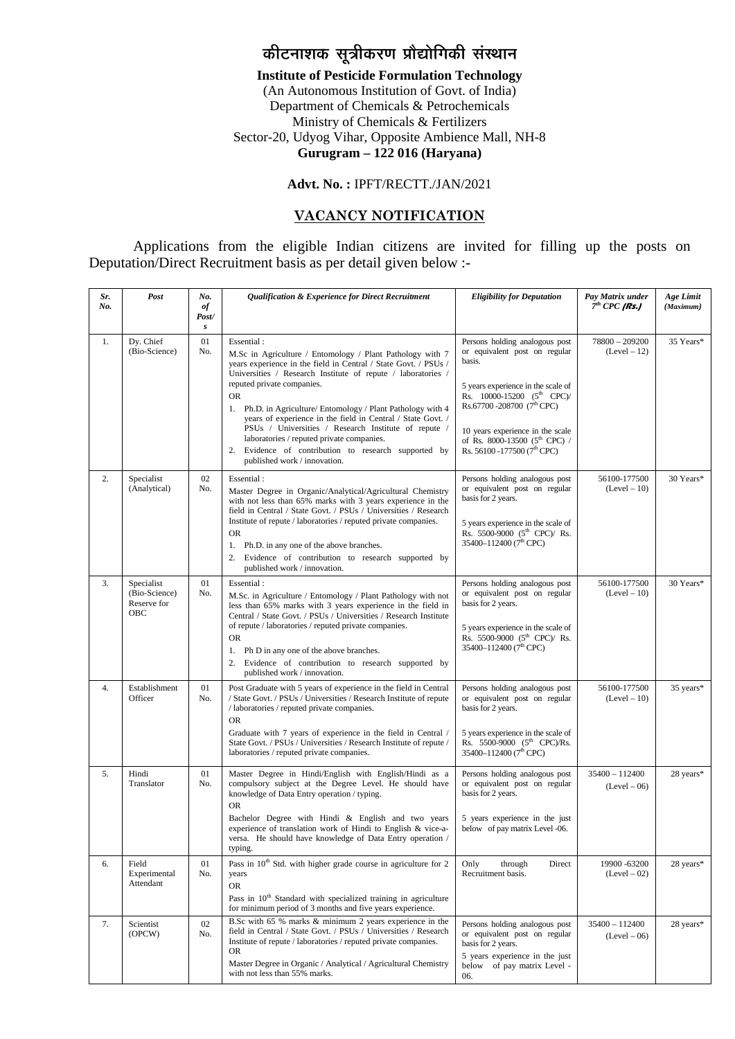# *कीटनाशक सूत्रीकरण प्रौद्योगिकी संस्थान*

**Institute of Pesticide Formulation Technology**

(An Autonomous Institution of Govt. of India) Department of Chemicals & Petrochemicals Ministry of Chemicals & Fertilizers Sector-20, Udyog Vihar, Opposite Ambience Mall, NH-8 **Gurugram – 122 016 (Haryana)** 

#### **Advt. No. :** IPFT/RECTT./JAN/2021

### **VACANCY NOTIFICATION**

Applications from the eligible Indian citizens are invited for filling up the posts on Deputation/Direct Recruitment basis as per detail given below :-

| Sr.<br>No. | Post                                              | No.<br>of<br>Post/<br>s | Qualification & Experience for Direct Recruitment                                                                                                                                                                                                                                                                                                                                                                                                                                                                                                                                    | <b>Eligibility for Deputation</b>                                                                                                                                                                                                                                                                                       | Pay Matrix under<br>$7th$ CPC (Rs.) | Age Limit<br>(Maximum) |
|------------|---------------------------------------------------|-------------------------|--------------------------------------------------------------------------------------------------------------------------------------------------------------------------------------------------------------------------------------------------------------------------------------------------------------------------------------------------------------------------------------------------------------------------------------------------------------------------------------------------------------------------------------------------------------------------------------|-------------------------------------------------------------------------------------------------------------------------------------------------------------------------------------------------------------------------------------------------------------------------------------------------------------------------|-------------------------------------|------------------------|
| 1.         | Dy. Chief<br>(Bio-Science)                        | 01<br>No.               | Essential:<br>M.Sc in Agriculture / Entomology / Plant Pathology with 7<br>years experience in the field in Central / State Govt. / PSUs /<br>Universities / Research Institute of repute / laboratories /<br>reputed private companies.<br><b>OR</b><br>1. Ph.D. in Agriculture/ Entomology / Plant Pathology with 4<br>years of experience in the field in Central / State Govt. /<br>PSUs / Universities / Research Institute of repute /<br>laboratories / reputed private companies.<br>Evidence of contribution to research supported by<br>2.<br>published work / innovation. | Persons holding analogous post<br>or equivalent post on regular<br>basis.<br>5 years experience in the scale of<br>Rs. 10000-15200 (5 <sup>th</sup> CPC)/<br>Rs.67700 - 208700 (7 <sup>th</sup> CPC)<br>10 years experience in the scale<br>of Rs. 8000-13500 (5 <sup>th</sup> CPC) /<br>Rs. 56100 -177500 ( $7th$ CPC) | $78800 - 209200$<br>$(Level-12)$    | 35 Years*              |
| 2.         | Specialist<br>(Analytical)                        | 02<br>No.               | Essential:<br>Master Degree in Organic/Analytical/Agricultural Chemistry<br>with not less than 65% marks with 3 years experience in the<br>field in Central / State Govt. / PSUs / Universities / Research<br>Institute of repute / laboratories / reputed private companies.<br><b>OR</b><br>1. Ph.D. in any one of the above branches.<br>Evidence of contribution to research supported by<br>2.<br>published work / innovation.                                                                                                                                                  | Persons holding analogous post<br>or equivalent post on regular<br>basis for 2 years.<br>5 years experience in the scale of<br>Rs. 5500-9000 (5 <sup>th</sup> CPC)/ Rs.<br>35400-112400 (7 <sup>th</sup> CPC)                                                                                                           | 56100-177500<br>$(Level-10)$        | 30 Years*              |
| 3.         | Specialist<br>(Bio-Science)<br>Reserve for<br>OBC | 01<br>No.               | Essential:<br>M.Sc. in Agriculture / Entomology / Plant Pathology with not<br>less than 65% marks with 3 years experience in the field in<br>Central / State Govt. / PSUs / Universities / Research Institute<br>of repute / laboratories / reputed private companies.<br><b>OR</b><br>Ph D in any one of the above branches.<br>1.<br>Evidence of contribution to research supported by<br>2.<br>published work / innovation.                                                                                                                                                       | Persons holding analogous post<br>or equivalent post on regular<br>basis for 2 years.<br>5 years experience in the scale of<br>Rs. 5500-9000 (5 <sup>th</sup> CPC)/ Rs.<br>35400-112400 (7 <sup>th</sup> CPC)                                                                                                           | 56100-177500<br>$(Level-10)$        | 30 Years*              |
| 4.         | Establishment<br>Officer                          | 01<br>No.               | Post Graduate with 5 years of experience in the field in Central<br>/ State Govt. / PSUs / Universities / Research Institute of repute<br>/ laboratories / reputed private companies.<br><b>OR</b><br>Graduate with 7 years of experience in the field in Central /<br>State Govt. / PSUs / Universities / Research Institute of repute /<br>laboratories / reputed private companies.                                                                                                                                                                                               | Persons holding analogous post<br>or equivalent post on regular<br>basis for 2 years.<br>5 years experience in the scale of<br>Rs. 5500-9000 (5 <sup>th</sup> CPC)/Rs.<br>35400-112400 (7 <sup>th</sup> CPC)                                                                                                            | 56100-177500<br>$(Level-10)$        | 35 years*              |
| 5.         | Hindi<br>Translator                               | 01<br>No.               | Master Degree in Hindi/English with English/Hindi as a<br>compulsory subject at the Degree Level. He should have<br>knowledge of Data Entry operation / typing.<br><b>OR</b><br>Bachelor Degree with Hindi & English and two years<br>experience of translation work of Hindi to English & vice-a-<br>versa. He should have knowledge of Data Entry operation /<br>typing.                                                                                                                                                                                                           | Persons holding analogous post<br>or equivalent post on regular<br>basis for 2 years.<br>5 years experience in the just<br>below of pay matrix Level -06.                                                                                                                                                               | $35400 - 112400$<br>$(Level-06)$    | 28 years*              |
| 6.         | Field<br>Experimental<br>Attendant                | 01<br>No.               | Pass in $10th$ Std. with higher grade course in agriculture for 2<br>years<br><b>OR</b><br>Pass in 10 <sup>th</sup> Standard with specialized training in agriculture<br>for minimum period of 3 months and five years experience.                                                                                                                                                                                                                                                                                                                                                   | Only<br>Direct<br>through<br>Recruitment basis.                                                                                                                                                                                                                                                                         | 19900 - 63200<br>$(Level-02)$       | 28 years*              |
| 7.         | Scientist<br>(OPCW)                               | 02<br>No.               | B.Sc with 65 % marks & minimum 2 years experience in the<br>field in Central / State Govt. / PSUs / Universities / Research<br>Institute of repute / laboratories / reputed private companies.<br><b>OR</b><br>Master Degree in Organic / Analytical / Agricultural Chemistry<br>with not less than 55% marks.                                                                                                                                                                                                                                                                       | Persons holding analogous post<br>or equivalent post on regular<br>basis for 2 years.<br>5 years experience in the just<br>below of pay matrix Level -<br>06.                                                                                                                                                           | $35400 - 112400$<br>$(Level-06)$    | 28 years*              |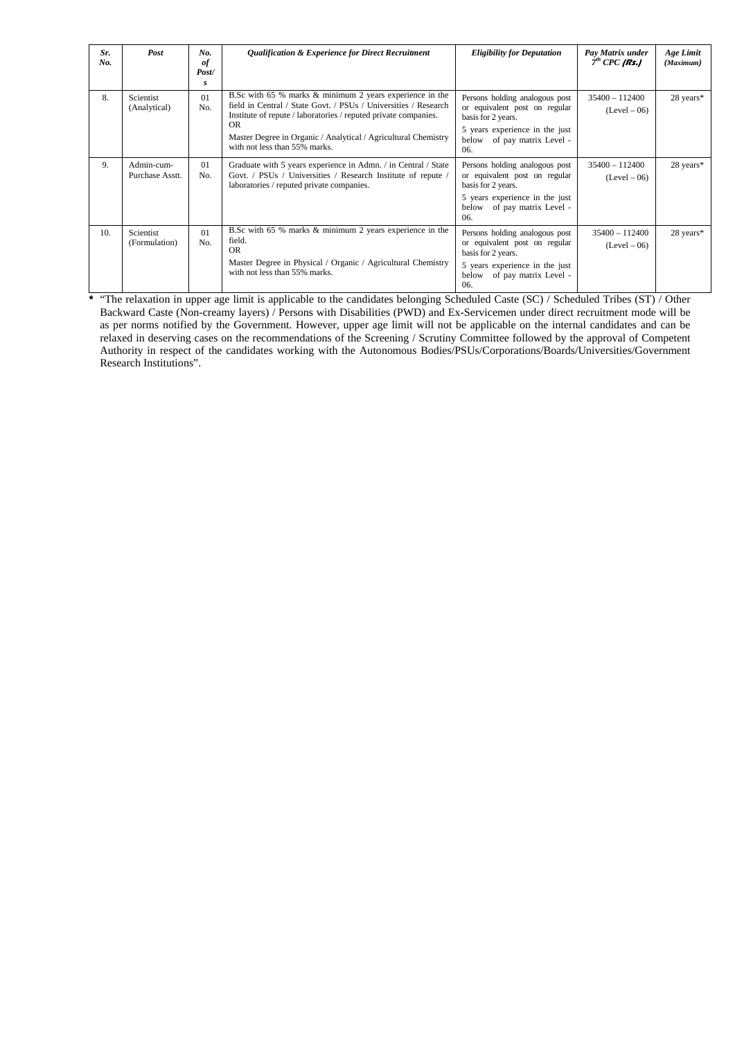| Sr.<br>No. | Post                          | No.<br>of<br>Post/<br>s | Qualification & Experience for Direct Recruitment                                                                                                                                                                                                                                                        | <b>Eligibility for Deputation</b>                                                                                                                                | Pay Matrix under<br>$7th$ CPC (Rs.) | Age Limit<br>(Maximum) |
|------------|-------------------------------|-------------------------|----------------------------------------------------------------------------------------------------------------------------------------------------------------------------------------------------------------------------------------------------------------------------------------------------------|------------------------------------------------------------------------------------------------------------------------------------------------------------------|-------------------------------------|------------------------|
| 8.         | Scientist<br>(Analytical)     | 01<br>N <sub>0</sub>    | B.Sc with 65 % marks & minimum 2 years experience in the<br>field in Central / State Govt. / PSUs / Universities / Research<br>Institute of repute / laboratories / reputed private companies.<br>OR.<br>Master Degree in Organic / Analytical / Agricultural Chemistry<br>with not less than 55% marks. | Persons holding analogous post<br>or equivalent post on regular<br>basis for 2 years.<br>5 years experience in the just<br>of pay matrix Level -<br>below<br>06. | $35400 - 112400$<br>$(Level-06)$    | 28 years*              |
| 9.         | Admin-cum-<br>Purchase Asstt. | 01<br>No.               | Graduate with 5 years experience in Admn. / in Central / State<br>Govt. / PSUs / Universities / Research Institute of repute<br>laboratories / reputed private companies.                                                                                                                                | Persons holding analogous post<br>or equivalent post on regular<br>basis for 2 years.<br>5 years experience in the just<br>below of pay matrix Level -<br>06.    | $35400 - 112400$<br>$(Level-06)$    | 28 years*              |
| 10.        | Scientist<br>(Formulation)    | 01<br>No.               | B.Sc with 65 % marks & minimum 2 years experience in the<br>field.<br><b>OR</b><br>Master Degree in Physical / Organic / Agricultural Chemistry<br>with not less than 55% marks.                                                                                                                         | Persons holding analogous post<br>or equivalent post on regular<br>basis for 2 years.<br>5 years experience in the just<br>of pay matrix Level -<br>below<br>06. | $35400 - 112400$<br>$(Level-06)$    | 28 years*              |

**\*** "The relaxation in upper age limit is applicable to the candidates belonging Scheduled Caste (SC) / Scheduled Tribes (ST) / Other Backward Caste (Non-creamy layers) / Persons with Disabilities (PWD) and Ex-Servicemen under direct recruitment mode will be as per norms notified by the Government. However, upper age limit will not be applicable on the internal candidates and can be relaxed in deserving cases on the recommendations of the Screening / Scrutiny Committee followed by the approval of Competent Authority in respect of the candidates working with the Autonomous Bodies/PSUs/Corporations/Boards/Universities/Government Research Institutions".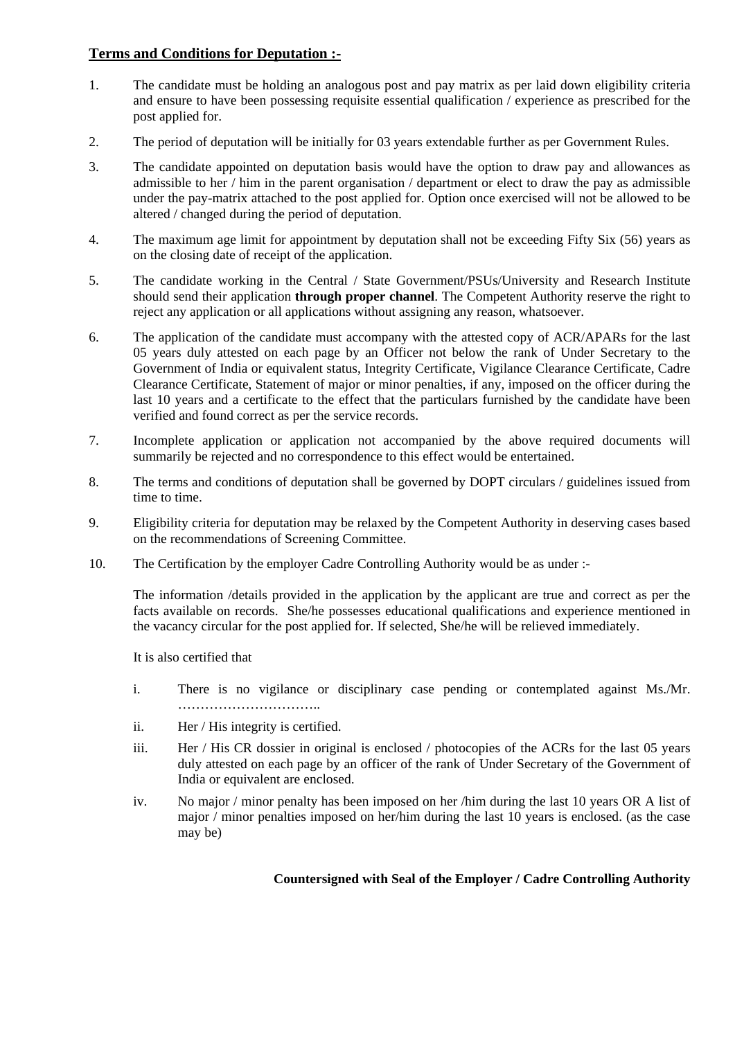## **Terms and Conditions for Deputation :-**

- 1. The candidate must be holding an analogous post and pay matrix as per laid down eligibility criteria and ensure to have been possessing requisite essential qualification / experience as prescribed for the post applied for.
- 2. The period of deputation will be initially for 03 years extendable further as per Government Rules.
- 3. The candidate appointed on deputation basis would have the option to draw pay and allowances as admissible to her / him in the parent organisation / department or elect to draw the pay as admissible under the pay-matrix attached to the post applied for. Option once exercised will not be allowed to be altered / changed during the period of deputation.
- 4. The maximum age limit for appointment by deputation shall not be exceeding Fifty Six (56) years as on the closing date of receipt of the application.
- 5. The candidate working in the Central / State Government/PSUs/University and Research Institute should send their application **through proper channel**. The Competent Authority reserve the right to reject any application or all applications without assigning any reason, whatsoever.
- 6. The application of the candidate must accompany with the attested copy of ACR/APARs for the last 05 years duly attested on each page by an Officer not below the rank of Under Secretary to the Government of India or equivalent status, Integrity Certificate, Vigilance Clearance Certificate, Cadre Clearance Certificate, Statement of major or minor penalties, if any, imposed on the officer during the last 10 years and a certificate to the effect that the particulars furnished by the candidate have been verified and found correct as per the service records.
- 7. Incomplete application or application not accompanied by the above required documents will summarily be rejected and no correspondence to this effect would be entertained.
- 8. The terms and conditions of deputation shall be governed by DOPT circulars / guidelines issued from time to time.
- 9. Eligibility criteria for deputation may be relaxed by the Competent Authority in deserving cases based on the recommendations of Screening Committee.
- 10. The Certification by the employer Cadre Controlling Authority would be as under :-

The information /details provided in the application by the applicant are true and correct as per the facts available on records. She/he possesses educational qualifications and experience mentioned in the vacancy circular for the post applied for. If selected, She/he will be relieved immediately.

It is also certified that

- i. There is no vigilance or disciplinary case pending or contemplated against Ms./Mr. …………………………………
- ii. Her / His integrity is certified.
- iii. Her / His CR dossier in original is enclosed / photocopies of the ACRs for the last 05 years duly attested on each page by an officer of the rank of Under Secretary of the Government of India or equivalent are enclosed.
- iv. No major / minor penalty has been imposed on her /him during the last 10 years OR A list of major / minor penalties imposed on her/him during the last 10 years is enclosed. (as the case may be)

### **Countersigned with Seal of the Employer / Cadre Controlling Authority**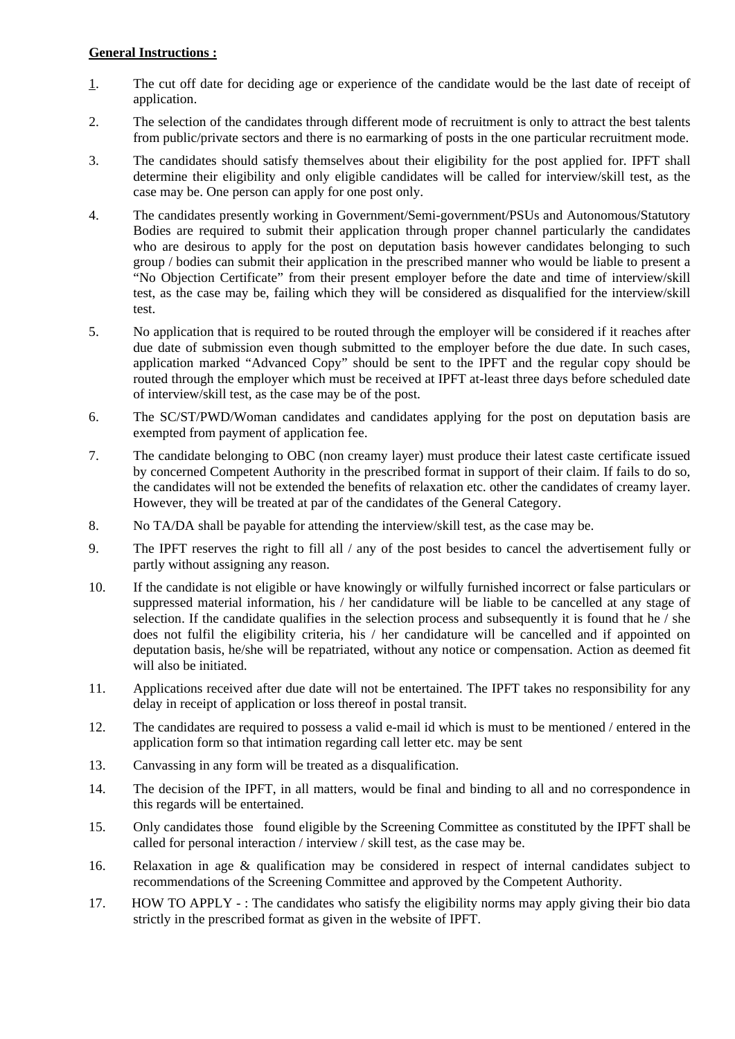#### **General Instructions :**

- 1. The cut off date for deciding age or experience of the candidate would be the last date of receipt of application.
- 2. The selection of the candidates through different mode of recruitment is only to attract the best talents from public/private sectors and there is no earmarking of posts in the one particular recruitment mode.
- 3. The candidates should satisfy themselves about their eligibility for the post applied for. IPFT shall determine their eligibility and only eligible candidates will be called for interview/skill test, as the case may be. One person can apply for one post only.
- 4. The candidates presently working in Government/Semi-government/PSUs and Autonomous/Statutory Bodies are required to submit their application through proper channel particularly the candidates who are desirous to apply for the post on deputation basis however candidates belonging to such group / bodies can submit their application in the prescribed manner who would be liable to present a "No Objection Certificate" from their present employer before the date and time of interview/skill test, as the case may be, failing which they will be considered as disqualified for the interview/skill test.
- 5. No application that is required to be routed through the employer will be considered if it reaches after due date of submission even though submitted to the employer before the due date. In such cases, application marked "Advanced Copy" should be sent to the IPFT and the regular copy should be routed through the employer which must be received at IPFT at-least three days before scheduled date of interview/skill test, as the case may be of the post.
- 6. The SC/ST/PWD/Woman candidates and candidates applying for the post on deputation basis are exempted from payment of application fee.
- 7. The candidate belonging to OBC (non creamy layer) must produce their latest caste certificate issued by concerned Competent Authority in the prescribed format in support of their claim. If fails to do so, the candidates will not be extended the benefits of relaxation etc. other the candidates of creamy layer. However, they will be treated at par of the candidates of the General Category.
- 8. No TA/DA shall be payable for attending the interview/skill test, as the case may be.
- 9. The IPFT reserves the right to fill all / any of the post besides to cancel the advertisement fully or partly without assigning any reason.
- 10. If the candidate is not eligible or have knowingly or wilfully furnished incorrect or false particulars or suppressed material information, his / her candidature will be liable to be cancelled at any stage of selection. If the candidate qualifies in the selection process and subsequently it is found that he / she does not fulfil the eligibility criteria, his / her candidature will be cancelled and if appointed on deputation basis, he/she will be repatriated, without any notice or compensation. Action as deemed fit will also be initiated.
- 11. Applications received after due date will not be entertained. The IPFT takes no responsibility for any delay in receipt of application or loss thereof in postal transit.
- 12. The candidates are required to possess a valid e-mail id which is must to be mentioned / entered in the application form so that intimation regarding call letter etc. may be sent
- 13. Canvassing in any form will be treated as a disqualification.
- 14. The decision of the IPFT, in all matters, would be final and binding to all and no correspondence in this regards will be entertained.
- 15. Only candidates those found eligible by the Screening Committee as constituted by the IPFT shall be called for personal interaction / interview / skill test, as the case may be.
- 16. Relaxation in age & qualification may be considered in respect of internal candidates subject to recommendations of the Screening Committee and approved by the Competent Authority.
- 17. HOW TO APPLY : The candidates who satisfy the eligibility norms may apply giving their bio data strictly in the prescribed format as given in the website of IPFT.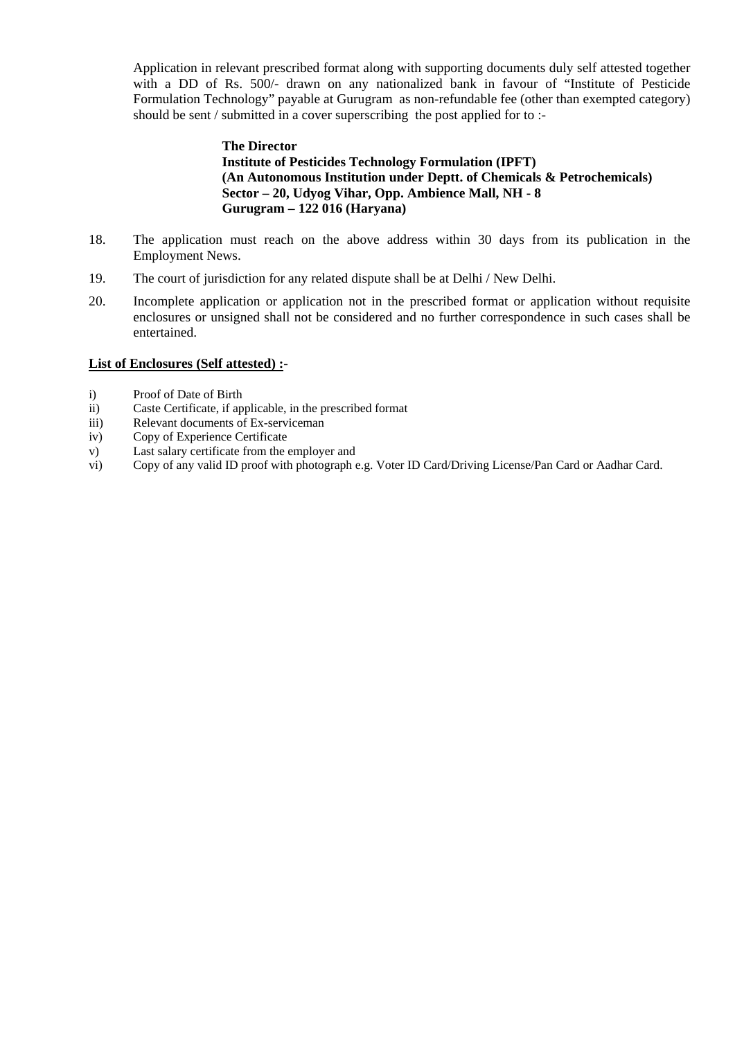Application in relevant prescribed format along with supporting documents duly self attested together with a DD of Rs. 500/- drawn on any nationalized bank in favour of "Institute of Pesticide Formulation Technology" payable at Gurugram as non-refundable fee (other than exempted category) should be sent / submitted in a cover superscribing the post applied for to :-

#### **The Director Institute of Pesticides Technology Formulation (IPFT) (An Autonomous Institution under Deptt. of Chemicals & Petrochemicals) Sector – 20, Udyog Vihar, Opp. Ambience Mall, NH - 8 Gurugram – 122 016 (Haryana)**

- 18. The application must reach on the above address within 30 days from its publication in the Employment News.
- 19. The court of jurisdiction for any related dispute shall be at Delhi / New Delhi.
- 20. Incomplete application or application not in the prescribed format or application without requisite enclosures or unsigned shall not be considered and no further correspondence in such cases shall be entertained.

#### **List of Enclosures (Self attested) :**-

- i) Proof of Date of Birth
- ii) Caste Certificate, if applicable, in the prescribed format
- iii) Relevant documents of Ex-serviceman
- iv) Copy of Experience Certificate
- v) Last salary certificate from the employer and
- vi) Copy of any valid ID proof with photograph e.g. Voter ID Card/Driving License/Pan Card or Aadhar Card.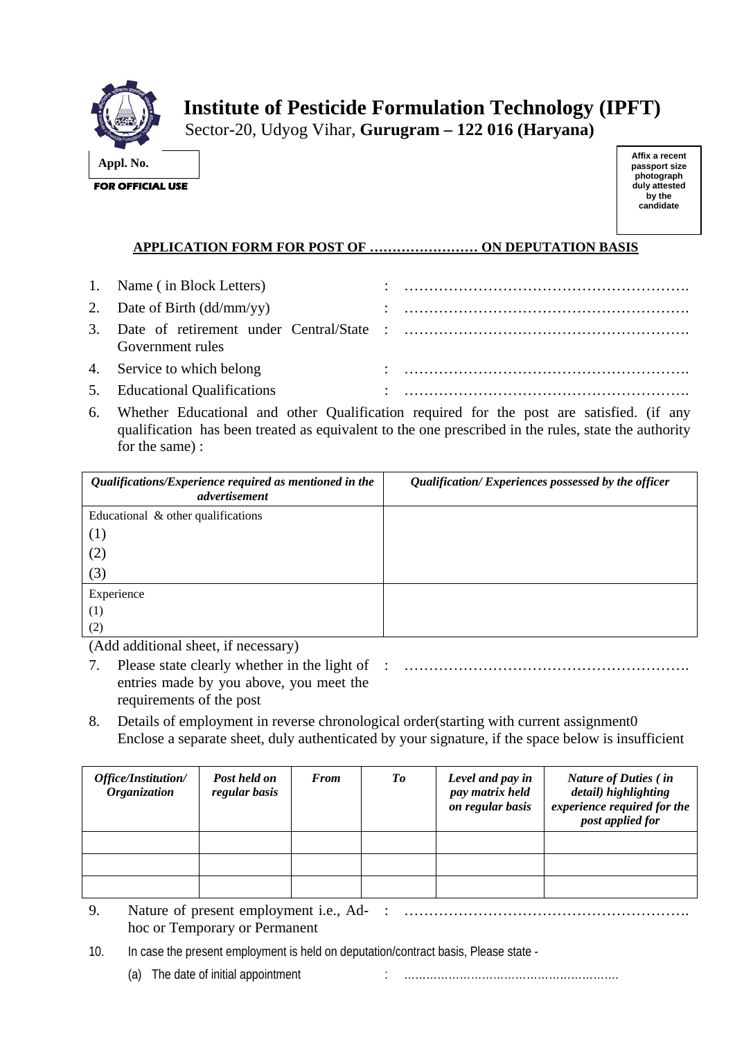

Sector-20, Udyog Vihar, **Gurugram – 122 016 (Haryana)** 

**Affix a recent passport size photograph duly attested by the candidate** 

# **APPLICATION FORM FOR POST OF …………………… ON DEPUTATION BASIS**

| 1. Name (in Block Letters)    |                                                                                                                                                                                                                                                                                                                                                                                                                                                             |
|-------------------------------|-------------------------------------------------------------------------------------------------------------------------------------------------------------------------------------------------------------------------------------------------------------------------------------------------------------------------------------------------------------------------------------------------------------------------------------------------------------|
| 2. Date of Birth $(dd/mm/yy)$ |                                                                                                                                                                                                                                                                                                                                                                                                                                                             |
| Government rules              |                                                                                                                                                                                                                                                                                                                                                                                                                                                             |
| 4. Service to which belong    |                                                                                                                                                                                                                                                                                                                                                                                                                                                             |
| 5. Educational Qualifications | $\mathcal{L} = \left\{ \begin{array}{ll} 0 & \text{if} & \text{if} & \text{if} & \text{if} & \text{if} & \text{if} & \text{if} & \text{if} & \text{if} & \text{if} & \text{if} & \text{if} & \text{if} & \text{if} & \text{if} & \text{if} & \text{if} & \text{if} & \text{if} & \text{if} & \text{if} & \text{if} & \text{if} & \text{if} & \text{if} & \text{if} & \text{if} & \text{if} & \text{if} & \text{if} & \text{if} & \text{if} & \text{if} & \$ |

6. Whether Educational and other Qualification required for the post are satisfied. (if any qualification has been treated as equivalent to the one prescribed in the rules, state the authority for the same) :

| Qualifications/Experience required as mentioned in the<br>advertisement | Qualification/Experiences possessed by the officer |
|-------------------------------------------------------------------------|----------------------------------------------------|
| Educational & other qualifications                                      |                                                    |
| (1)                                                                     |                                                    |
| (2)                                                                     |                                                    |
| (3)                                                                     |                                                    |
| Experience                                                              |                                                    |
| (1)                                                                     |                                                    |
| (2)                                                                     |                                                    |

(Add additional sheet, if necessary)

- 7. Please state clearly whether in the light of : …………………………………………………. entries made by you above, you meet the requirements of the post
- 8. Details of employment in reverse chronological order(starting with current assignment0 Enclose a separate sheet, duly authenticated by your signature, if the space below is insufficient

| Office/Institution/<br><b>Organization</b> | Post held on<br>regular basis | <b>From</b> | To | Level and pay in<br>pay matrix held<br>on regular basis | <b>Nature of Duties (in</b><br>detail) highlighting<br>experience required for the<br>post applied for |
|--------------------------------------------|-------------------------------|-------------|----|---------------------------------------------------------|--------------------------------------------------------------------------------------------------------|
|                                            |                               |             |    |                                                         |                                                                                                        |
|                                            |                               |             |    |                                                         |                                                                                                        |
|                                            |                               |             |    |                                                         |                                                                                                        |

- 9. Nature of present employment i.e., Ad-: …………………………………………………. hoc or Temporary or Permanent
- 10. In case the present employment is held on deputation/contract basis, Please state
	- (a) The date of initial appointment in the substitution of the date of initial appointment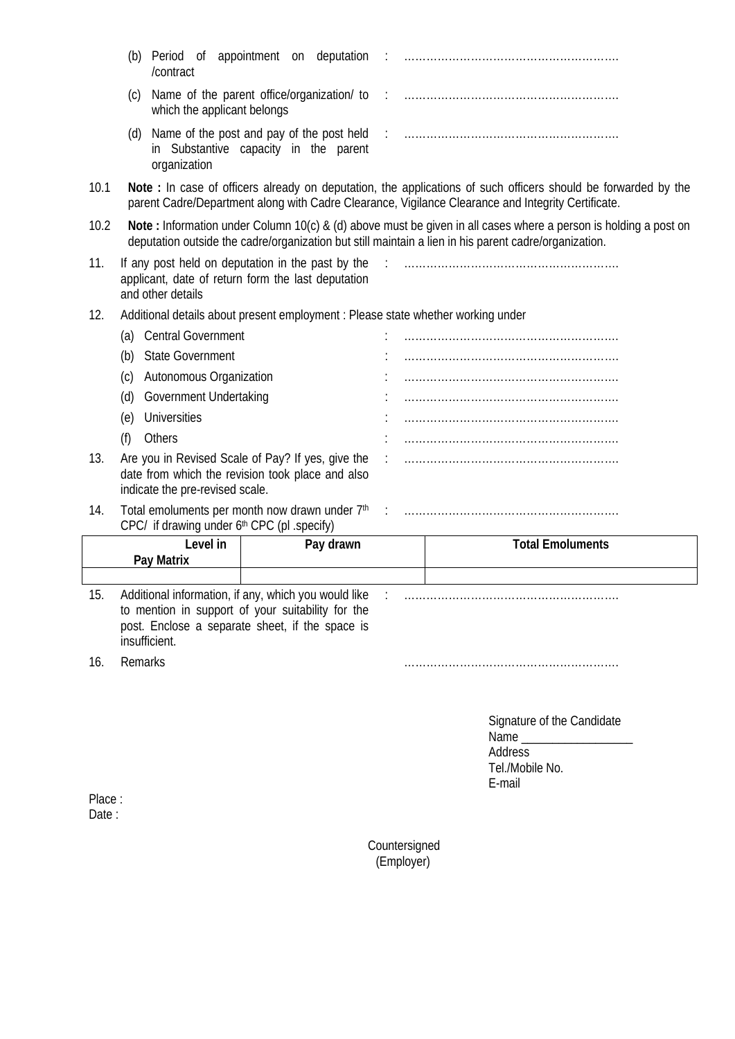|         | (b)                                                                                                                                      | /contract                                                                                                                                                                     |   |           |  |                                                                                                                                                                                                                                                                                                      |
|---------|------------------------------------------------------------------------------------------------------------------------------------------|-------------------------------------------------------------------------------------------------------------------------------------------------------------------------------|---|-----------|--|------------------------------------------------------------------------------------------------------------------------------------------------------------------------------------------------------------------------------------------------------------------------------------------------------|
|         | (C)                                                                                                                                      | which the applicant belongs                                                                                                                                                   |   |           |  |                                                                                                                                                                                                                                                                                                      |
|         | (d)                                                                                                                                      | in Substantive capacity in the parent<br>organization                                                                                                                         |   |           |  |                                                                                                                                                                                                                                                                                                      |
| 10.1    |                                                                                                                                          |                                                                                                                                                                               |   |           |  | Note: In case of officers already on deputation, the applications of such officers should be forwarded by the<br>parent Cadre/Department along with Cadre Clearance, Vigilance Clearance and Integrity Certificate.                                                                                  |
| 10.2    |                                                                                                                                          |                                                                                                                                                                               |   |           |  | Note: Information under Column 10(c) & (d) above must be given in all cases where a person is holding a post on<br>deputation outside the cadre/organization but still maintain a lien in his parent cadre/organization.                                                                             |
| 11.     |                                                                                                                                          | If any post held on deputation in the past by the<br>applicant, date of return form the last deputation<br>and other details                                                  |   |           |  |                                                                                                                                                                                                                                                                                                      |
| 12.     |                                                                                                                                          |                                                                                                                                                                               |   |           |  | Additional details about present employment : Please state whether working under                                                                                                                                                                                                                     |
|         | (a) Central Government                                                                                                                   |                                                                                                                                                                               |   |           |  |                                                                                                                                                                                                                                                                                                      |
|         | <b>State Government</b><br>(b)<br>Autonomous Organization<br>(c)<br>Government Undertaking<br>(d)                                        |                                                                                                                                                                               |   |           |  |                                                                                                                                                                                                                                                                                                      |
|         |                                                                                                                                          |                                                                                                                                                                               |   |           |  |                                                                                                                                                                                                                                                                                                      |
|         |                                                                                                                                          |                                                                                                                                                                               |   |           |  |                                                                                                                                                                                                                                                                                                      |
|         | (e)                                                                                                                                      | Universities                                                                                                                                                                  |   |           |  |                                                                                                                                                                                                                                                                                                      |
|         | (f)                                                                                                                                      | Others                                                                                                                                                                        |   |           |  |                                                                                                                                                                                                                                                                                                      |
| 13.     | Are you in Revised Scale of Pay? If yes, give the<br>date from which the revision took place and also<br>indicate the pre-revised scale. |                                                                                                                                                                               | ÷ |           |  |                                                                                                                                                                                                                                                                                                      |
| 14.     |                                                                                                                                          | CPC/ if drawing under 6th CPC (pl .specify)                                                                                                                                   |   |           |  |                                                                                                                                                                                                                                                                                                      |
|         |                                                                                                                                          | Level in                                                                                                                                                                      |   | Pay drawn |  | <b>Total Emoluments</b>                                                                                                                                                                                                                                                                              |
|         |                                                                                                                                          | Pay Matrix                                                                                                                                                                    |   |           |  |                                                                                                                                                                                                                                                                                                      |
| 15.     |                                                                                                                                          | Additional information, if any, which you would like<br>to mention in support of your suitability for the<br>post. Enclose a separate sheet, if the space is<br>insufficient. |   |           |  |                                                                                                                                                                                                                                                                                                      |
| 16.     | Remarks                                                                                                                                  |                                                                                                                                                                               |   |           |  |                                                                                                                                                                                                                                                                                                      |
|         |                                                                                                                                          |                                                                                                                                                                               |   |           |  | Signature of the Candidate<br>Name and the state of the state of the state of the state of the state of the state of the state of the state of the state of the state of the state of the state of the state of the state of the state of the state of the s<br>Address<br>Tel./Mobile No.<br>E-mail |
| Place · |                                                                                                                                          |                                                                                                                                                                               |   |           |  |                                                                                                                                                                                                                                                                                                      |

Place : Date :

> Countersigned (Employer)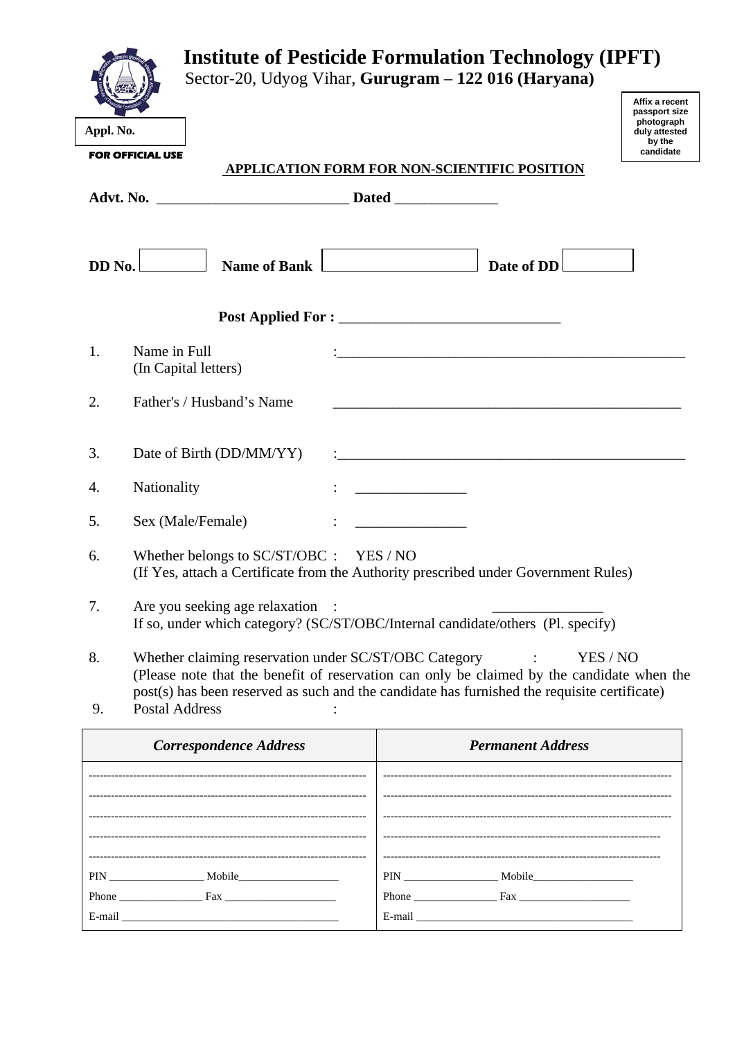|                |                                                                                                                                | <b>Institute of Pesticide Formulation Technology (IPFT)</b><br>Sector-20, Udyog Vihar, Gurugram - 122 016 (Haryana) |                                                                                                                        |                                                                                       |
|----------------|--------------------------------------------------------------------------------------------------------------------------------|---------------------------------------------------------------------------------------------------------------------|------------------------------------------------------------------------------------------------------------------------|---------------------------------------------------------------------------------------|
| Appl. No.      | <b>FOR OFFICIAL USE</b>                                                                                                        |                                                                                                                     |                                                                                                                        | Affix a recent<br>passport size<br>photograph<br>duly attested<br>by the<br>candidate |
|                |                                                                                                                                | APPLICATION FORM FOR NON-SCIENTIFIC POSITION                                                                        |                                                                                                                        |                                                                                       |
|                |                                                                                                                                |                                                                                                                     |                                                                                                                        |                                                                                       |
| DD No.         | Name of Bank                                                                                                                   |                                                                                                                     | Date of DD                                                                                                             |                                                                                       |
|                |                                                                                                                                |                                                                                                                     |                                                                                                                        |                                                                                       |
| 1 <sub>1</sub> | Name in Full<br>(In Capital letters)                                                                                           |                                                                                                                     | <u> 1989 - Johann John Stone, markin film yn y brenin y brenin y brenin y brenin y brenin y brenin y brenin y br</u>   |                                                                                       |
| 2.             | Father's / Husband's Name                                                                                                      |                                                                                                                     |                                                                                                                        |                                                                                       |
| 3.             | Date of Birth (DD/MM/YY)                                                                                                       |                                                                                                                     | <u> 1989 - Johann Barn, mars ann an t-Amhain ann an t-Amhain an t-Amhain an t-Amhain an t-Amhain an t-Amhain an t-</u> |                                                                                       |
| 4.             | Nationality                                                                                                                    |                                                                                                                     |                                                                                                                        |                                                                                       |
| 5.             | Sex (Male/Female)                                                                                                              |                                                                                                                     |                                                                                                                        |                                                                                       |
| 6.             | Whether belongs to SC/ST/OBC : YES / NO<br>(If Yes, attach a Certificate from the Authority prescribed under Government Rules) |                                                                                                                     |                                                                                                                        |                                                                                       |
| 7.             | Are you seeking age relaxation<br>If so, under which category? (SC/ST/OBC/Internal candidate/others (Pl. specify)              |                                                                                                                     |                                                                                                                        |                                                                                       |
| 8.             | Whether claiming reservation under SC/ST/OBC Category                                                                          |                                                                                                                     | YES / NO<br>$\ddot{\cdot}$                                                                                             |                                                                                       |

 (Please note that the benefit of reservation can only be claimed by the candidate when the post(s) has been reserved as such and the candidate has furnished the requisite certificate) 9. Postal Address :

| <b>Correspondence Address</b>                                                                                                                                                                                                               | <b>Permanent Address</b>                                |
|---------------------------------------------------------------------------------------------------------------------------------------------------------------------------------------------------------------------------------------------|---------------------------------------------------------|
|                                                                                                                                                                                                                                             |                                                         |
|                                                                                                                                                                                                                                             |                                                         |
| Phone Fax<br>E-mail entrance and the contract of the contract of the contract of the contract of the contract of the contract of the contract of the contract of the contract of the contract of the contract of the contract of the contra | Phone $\frac{1}{1}$ Fax $\frac{1}{1}$ Fax $\frac{1}{1}$ |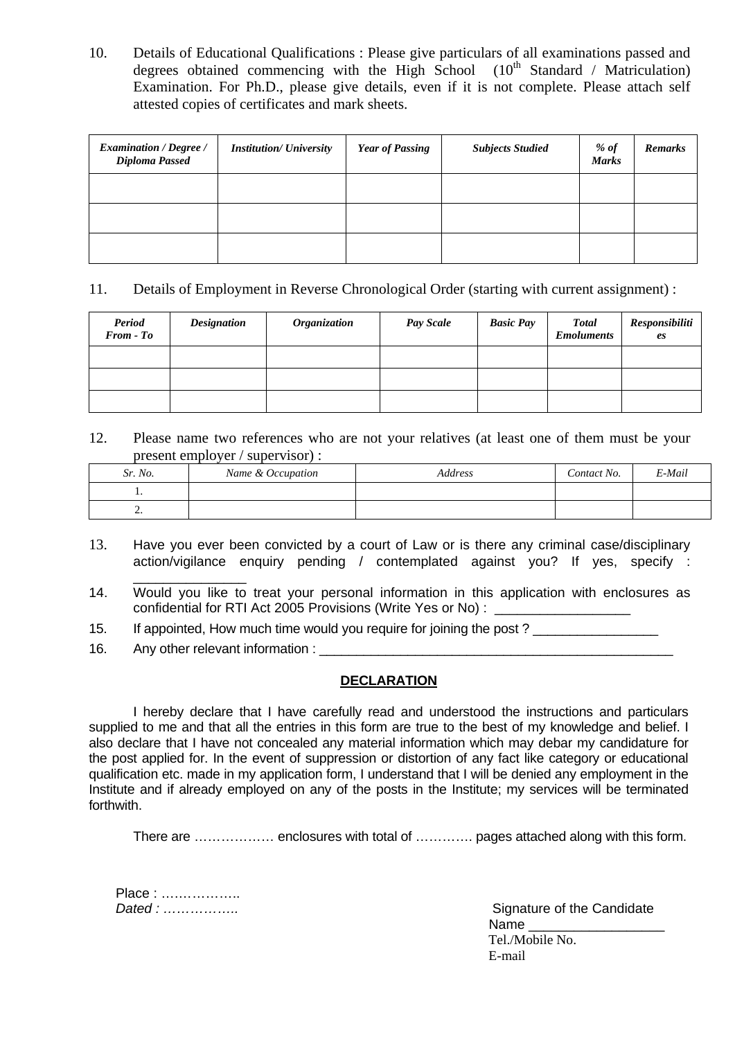10. Details of Educational Qualifications : Please give particulars of all examinations passed and degrees obtained commencing with the High School  $(10<sup>th</sup> Standard / Matriculation)$ Examination. For Ph.D., please give details, even if it is not complete. Please attach self attested copies of certificates and mark sheets.

| <b>Examination / Degree /</b><br>Diploma Passed | <b>Institution/ University</b> | <b>Year of Passing</b> | <b>Subjects Studied</b> | $%$ of<br><b>Marks</b> | <b>Remarks</b> |
|-------------------------------------------------|--------------------------------|------------------------|-------------------------|------------------------|----------------|
|                                                 |                                |                        |                         |                        |                |
|                                                 |                                |                        |                         |                        |                |
|                                                 |                                |                        |                         |                        |                |

# 11. Details of Employment in Reverse Chronological Order (starting with current assignment) :

| <b>Period</b><br>From - To | <b>Designation</b> | <b>Organization</b> | Pay Scale | <b>Basic Pay</b> | <b>Total</b><br><b>Emoluments</b> | Responsibiliti<br>es |
|----------------------------|--------------------|---------------------|-----------|------------------|-----------------------------------|----------------------|
|                            |                    |                     |           |                  |                                   |                      |
|                            |                    |                     |           |                  |                                   |                      |
|                            |                    |                     |           |                  |                                   |                      |

12. Please name two references who are not your relatives (at least one of them must be your present employer / supervisor) :

| Sr. No.  | Name & Occupation | Address | Contact No. | E-Mail |
|----------|-------------------|---------|-------------|--------|
| . .      |                   |         |             |        |
| <u>.</u> |                   |         |             |        |

- 13. Have you ever been convicted by a court of Law or is there any criminal case/disciplinary action/vigilance enquiry pending / contemplated against you? If yes, specify :
- \_\_\_\_\_\_\_\_\_\_\_\_\_\_\_ 14. Would you like to treat your personal information in this application with enclosures as confidential for RTI Act 2005 Provisions (Write Yes or No) :

15. If appointed, How much time would you require for joining the post?

16. Any other relevant information :

### **DECLARATION**

 I hereby declare that I have carefully read and understood the instructions and particulars supplied to me and that all the entries in this form are true to the best of my knowledge and belief. I also declare that I have not concealed any material information which may debar my candidature for the post applied for. In the event of suppression or distortion of any fact like category or educational qualification etc. made in my application form, I understand that I will be denied any employment in the Institute and if already employed on any of the posts in the Institute; my services will be terminated forthwith.

There are ……………… enclosures with total of …………. pages attached along with this form.

| Place: |  |
|--------|--|
| Dated: |  |

Signature of the Candidate Name \_\_\_\_\_\_\_\_\_\_\_\_\_\_\_\_\_\_ Tel./Mobile No. E-mail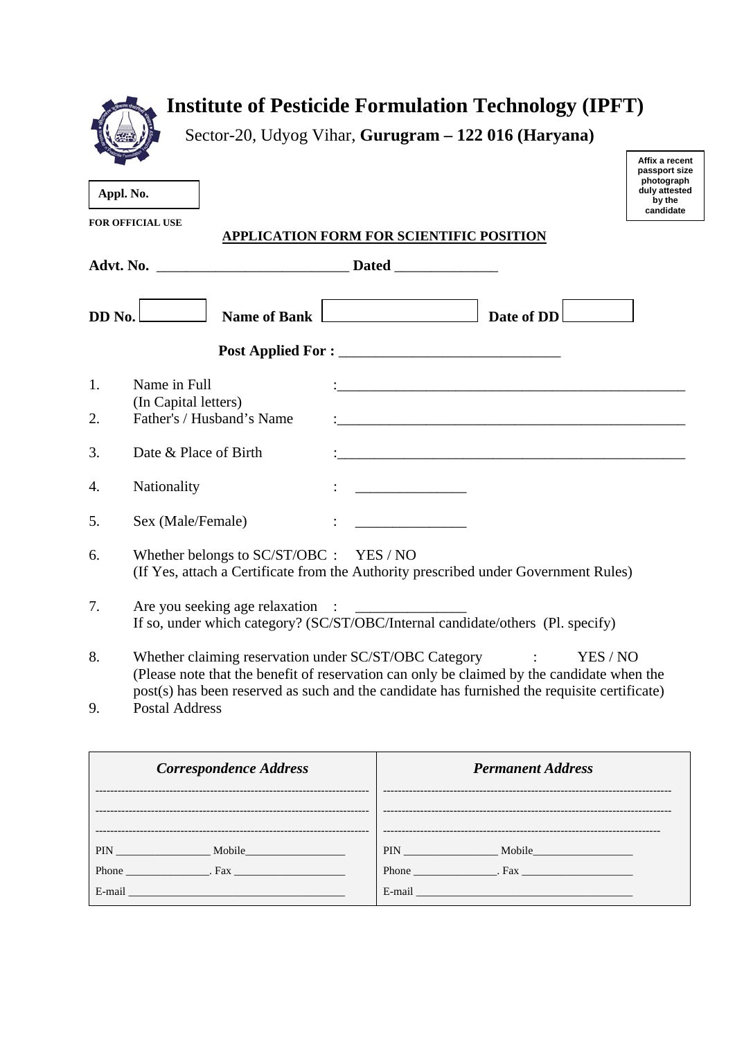| Appl. No. | Sector-20, Udyog Vihar, Gurugram - 122 016 (Haryana)<br><b>FOR OFFICIAL USE</b><br>APPLICATION FORM FOR SCIENTIFIC POSITION                                                                                                                                                  |  | Affix a recent<br>passport size<br>photograph<br>duly attested<br>by the<br>candidate |
|-----------|------------------------------------------------------------------------------------------------------------------------------------------------------------------------------------------------------------------------------------------------------------------------------|--|---------------------------------------------------------------------------------------|
|           |                                                                                                                                                                                                                                                                              |  |                                                                                       |
|           | Name of Bank Date of DD<br>$DD$ No.                                                                                                                                                                                                                                          |  |                                                                                       |
|           |                                                                                                                                                                                                                                                                              |  |                                                                                       |
| 1.<br>2.  | Name in Full<br>(In Capital letters)<br>Father's / Husband's Name                                                                                                                                                                                                            |  |                                                                                       |
| 3.        | Date & Place of Birth                                                                                                                                                                                                                                                        |  |                                                                                       |
| 4.        | Nationality                                                                                                                                                                                                                                                                  |  |                                                                                       |
| 5.        | Sex (Male/Female)                                                                                                                                                                                                                                                            |  |                                                                                       |
| 6.        | Whether belongs to $SC/ST/OBC$ : YES / NO<br>(If Yes, attach a Certificate from the Authority prescribed under Government Rules)                                                                                                                                             |  |                                                                                       |
| 7.        | If so, under which category? (SC/ST/OBC/Internal candidate/others (Pl. specify)                                                                                                                                                                                              |  |                                                                                       |
| 8.<br>9.  | Whether claiming reservation under SC/ST/OBC Category<br>(Please note that the benefit of reservation can only be claimed by the candidate when the<br>post(s) has been reserved as such and the candidate has furnished the requisite certificate)<br><b>Postal Address</b> |  | YES / NO                                                                              |
|           |                                                                                                                                                                                                                                                                              |  |                                                                                       |

| <b>Correspondence Address</b>                                                                                                                                                                                                        | <b>Permanent Address</b>                                                                                                                                                                                                             |
|--------------------------------------------------------------------------------------------------------------------------------------------------------------------------------------------------------------------------------------|--------------------------------------------------------------------------------------------------------------------------------------------------------------------------------------------------------------------------------------|
|                                                                                                                                                                                                                                      |                                                                                                                                                                                                                                      |
| PIN Mobile                                                                                                                                                                                                                           | PIN Mobile                                                                                                                                                                                                                           |
| E-mail <u>contract and the contract of the contract of the contract of the contract of the contract of the contract of the contract of the contract of the contract of the contract of the contract of the contract of the contr</u> | E-mail <u>contract and the contract of the contract of the contract of the contract of the contract of the contract of the contract of the contract of the contract of the contract of the contract of the contract of the contr</u> |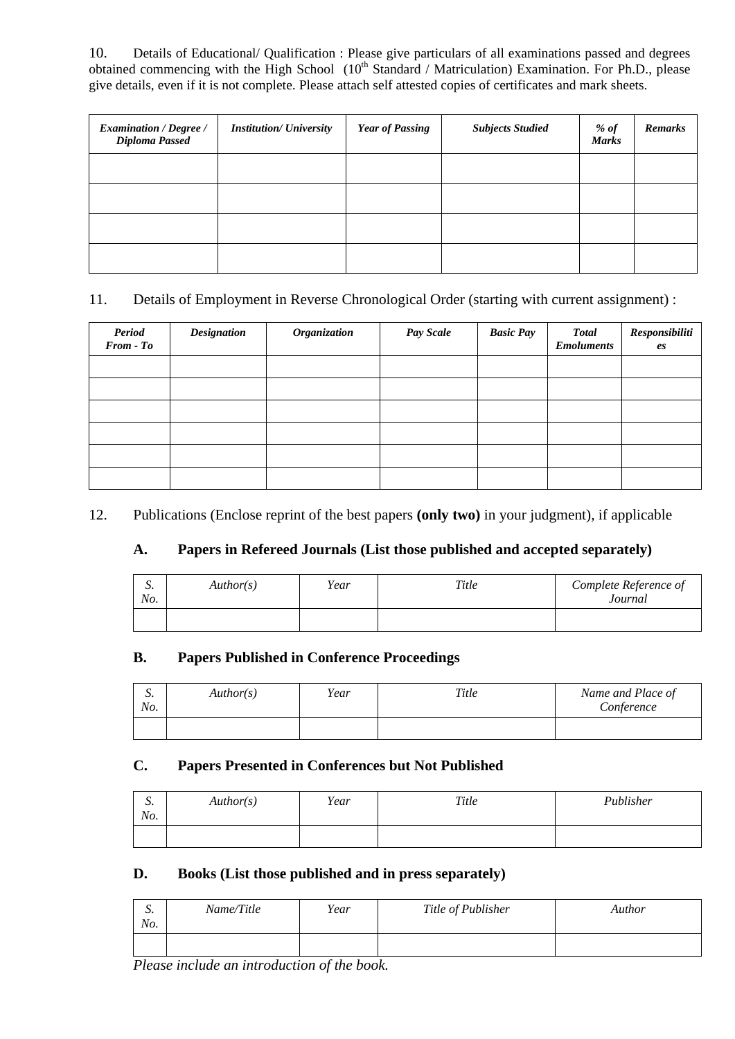10. Details of Educational/ Qualification : Please give particulars of all examinations passed and degrees obtained commencing with the High School (10<sup>th</sup> Standard / Matriculation) Examination. For Ph.D., please give details, even if it is not complete. Please attach self attested copies of certificates and mark sheets.

| <b>Examination / Degree /</b><br>Diploma Passed | <b>Institution/ University</b> | <b>Year of Passing</b> | <b>Subjects Studied</b> | $%$ of<br><b>Marks</b> | <b>Remarks</b> |
|-------------------------------------------------|--------------------------------|------------------------|-------------------------|------------------------|----------------|
|                                                 |                                |                        |                         |                        |                |
|                                                 |                                |                        |                         |                        |                |
|                                                 |                                |                        |                         |                        |                |
|                                                 |                                |                        |                         |                        |                |

# 11. Details of Employment in Reverse Chronological Order (starting with current assignment) :

| <b>Period</b><br>$From - To$ | <b>Designation</b> | Organization | Pay Scale | <b>Basic Pay</b> | <b>Total</b><br><b>Emoluments</b> | Responsibiliti<br>es |
|------------------------------|--------------------|--------------|-----------|------------------|-----------------------------------|----------------------|
|                              |                    |              |           |                  |                                   |                      |
|                              |                    |              |           |                  |                                   |                      |
|                              |                    |              |           |                  |                                   |                      |
|                              |                    |              |           |                  |                                   |                      |
|                              |                    |              |           |                  |                                   |                      |
|                              |                    |              |           |                  |                                   |                      |

12. Publications (Enclose reprint of the best papers **(only two)** in your judgment), if applicable

# **A. Papers in Refereed Journals (List those published and accepted separately)**

| $\sim$<br>ມ.<br>No. | Author(s) | Year | Title | Complete Reference of<br>Journal |
|---------------------|-----------|------|-------|----------------------------------|
|                     |           |      |       |                                  |

# **B. Papers Published in Conference Proceedings**

| $\sim$<br>ມ.<br>No. | Author(s) | Year | Title | Name and Place of<br>Conference |
|---------------------|-----------|------|-------|---------------------------------|
|                     |           |      |       |                                 |

### **C. Papers Presented in Conferences but Not Published**

| $\sim$<br>ມ.<br>No. | Author(s) | Year | Title | Publisher |
|---------------------|-----------|------|-------|-----------|
|                     |           |      |       |           |

### **D. Books (List those published and in press separately)**

| $\sim$<br>ມ.<br>No. | Name/Title | Year | Title of Publisher | Author |
|---------------------|------------|------|--------------------|--------|
|                     |            |      |                    |        |

 *Please include an introduction of the book.*